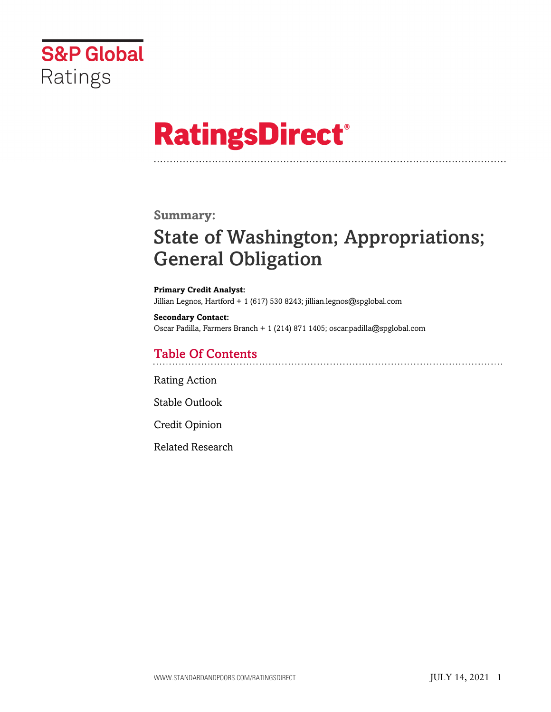

# **RatingsDirect®**

## **Summary:**

# State of Washington; Appropriations; General Obligation

**Primary Credit Analyst:** Jillian Legnos, Hartford + 1 (617) 530 8243; jillian.legnos@spglobal.com

**Secondary Contact:** Oscar Padilla, Farmers Branch + 1 (214) 871 1405; oscar.padilla@spglobal.com

# Table Of Contents

[Rating Action](#page-1-0)

[Stable Outlook](#page-3-0)

[Credit Opinion](#page-4-0)

[Related Research](#page-5-0)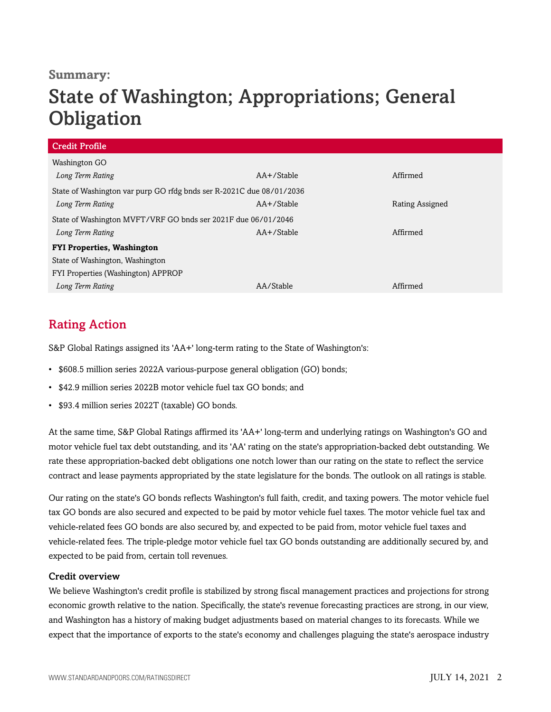### **Summary:**

# State of Washington; Appropriations; General **Obligation**

| $AA + /$ Stable                                                      | Affirmed        |  |  |  |
|----------------------------------------------------------------------|-----------------|--|--|--|
| State of Washington var purp GO rfdg bnds ser R-2021C due 08/01/2036 |                 |  |  |  |
| $AA+$ /Stable                                                        | Rating Assigned |  |  |  |
| State of Washington MVFT/VRF GO bnds ser 2021F due 06/01/2046        |                 |  |  |  |
| AA+/Stable                                                           | Affirmed        |  |  |  |
| <b>FYI Properties, Washington</b>                                    |                 |  |  |  |
| State of Washington, Washington                                      |                 |  |  |  |
| FYI Properties (Washington) APPROP                                   |                 |  |  |  |
| AA/Stable                                                            | Affirmed        |  |  |  |
|                                                                      |                 |  |  |  |

# <span id="page-1-0"></span>Rating Action

S&P Global Ratings assigned its 'AA+' long-term rating to the State of Washington's:

- \$608.5 million series 2022A various-purpose general obligation (GO) bonds;
- \$42.9 million series 2022B motor vehicle fuel tax GO bonds; and
- \$93.4 million series 2022T (taxable) GO bonds.

At the same time, S&P Global Ratings affirmed its 'AA+' long-term and underlying ratings on Washington's GO and motor vehicle fuel tax debt outstanding, and its 'AA' rating on the state's appropriation-backed debt outstanding. We rate these appropriation-backed debt obligations one notch lower than our rating on the state to reflect the service contract and lease payments appropriated by the state legislature for the bonds. The outlook on all ratings is stable.

Our rating on the state's GO bonds reflects Washington's full faith, credit, and taxing powers. The motor vehicle fuel tax GO bonds are also secured and expected to be paid by motor vehicle fuel taxes. The motor vehicle fuel tax and vehicle-related fees GO bonds are also secured by, and expected to be paid from, motor vehicle fuel taxes and vehicle-related fees. The triple-pledge motor vehicle fuel tax GO bonds outstanding are additionally secured by, and expected to be paid from, certain toll revenues.

#### Credit overview

We believe Washington's credit profile is stabilized by strong fiscal management practices and projections for strong economic growth relative to the nation. Specifically, the state's revenue forecasting practices are strong, in our view, and Washington has a history of making budget adjustments based on material changes to its forecasts. While we expect that the importance of exports to the state's economy and challenges plaguing the state's aerospace industry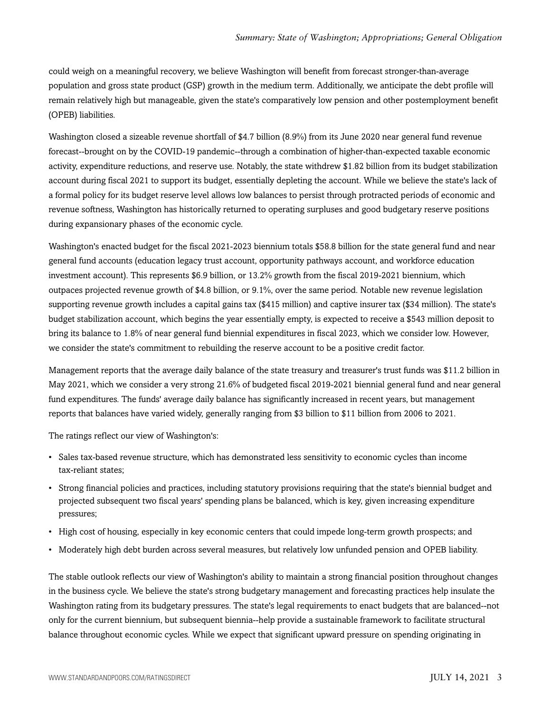could weigh on a meaningful recovery, we believe Washington will benefit from forecast stronger-than-average population and gross state product (GSP) growth in the medium term. Additionally, we anticipate the debt profile will remain relatively high but manageable, given the state's comparatively low pension and other postemployment benefit (OPEB) liabilities.

Washington closed a sizeable revenue shortfall of \$4.7 billion (8.9%) from its June 2020 near general fund revenue forecast--brought on by the COVID-19 pandemic--through a combination of higher-than-expected taxable economic activity, expenditure reductions, and reserve use. Notably, the state withdrew \$1.82 billion from its budget stabilization account during fiscal 2021 to support its budget, essentially depleting the account. While we believe the state's lack of a formal policy for its budget reserve level allows low balances to persist through protracted periods of economic and revenue softness, Washington has historically returned to operating surpluses and good budgetary reserve positions during expansionary phases of the economic cycle.

Washington's enacted budget for the fiscal 2021-2023 biennium totals \$58.8 billion for the state general fund and near general fund accounts (education legacy trust account, opportunity pathways account, and workforce education investment account). This represents \$6.9 billion, or 13.2% growth from the fiscal 2019-2021 biennium, which outpaces projected revenue growth of \$4.8 billion, or 9.1%, over the same period. Notable new revenue legislation supporting revenue growth includes a capital gains tax (\$415 million) and captive insurer tax (\$34 million). The state's budget stabilization account, which begins the year essentially empty, is expected to receive a \$543 million deposit to bring its balance to 1.8% of near general fund biennial expenditures in fiscal 2023, which we consider low. However, we consider the state's commitment to rebuilding the reserve account to be a positive credit factor.

Management reports that the average daily balance of the state treasury and treasurer's trust funds was \$11.2 billion in May 2021, which we consider a very strong 21.6% of budgeted fiscal 2019-2021 biennial general fund and near general fund expenditures. The funds' average daily balance has significantly increased in recent years, but management reports that balances have varied widely, generally ranging from \$3 billion to \$11 billion from 2006 to 2021.

The ratings reflect our view of Washington's:

- Sales tax-based revenue structure, which has demonstrated less sensitivity to economic cycles than income tax-reliant states;
- Strong financial policies and practices, including statutory provisions requiring that the state's biennial budget and projected subsequent two fiscal years' spending plans be balanced, which is key, given increasing expenditure pressures;
- High cost of housing, especially in key economic centers that could impede long-term growth prospects; and
- Moderately high debt burden across several measures, but relatively low unfunded pension and OPEB liability.

The stable outlook reflects our view of Washington's ability to maintain a strong financial position throughout changes in the business cycle. We believe the state's strong budgetary management and forecasting practices help insulate the Washington rating from its budgetary pressures. The state's legal requirements to enact budgets that are balanced--not only for the current biennium, but subsequent biennia--help provide a sustainable framework to facilitate structural balance throughout economic cycles. While we expect that significant upward pressure on spending originating in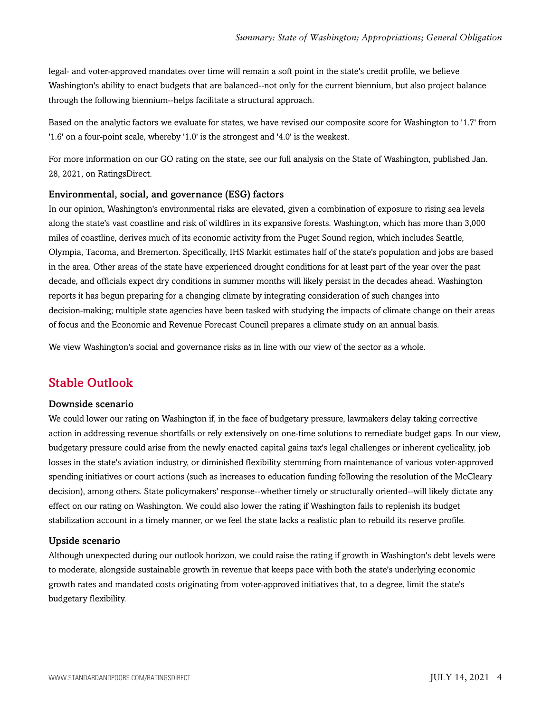legal- and voter-approved mandates over time will remain a soft point in the state's credit profile, we believe Washington's ability to enact budgets that are balanced--not only for the current biennium, but also project balance through the following biennium--helps facilitate a structural approach.

Based on the analytic factors we evaluate for states, we have revised our composite score for Washington to '1.7' from '1.6' on a four-point scale, whereby '1.0' is the strongest and '4.0' is the weakest.

For more information on our GO rating on the state, see our full analysis on the State of Washington, published Jan. 28, 2021, on RatingsDirect.

#### Environmental, social, and governance (ESG) factors

In our opinion, Washington's environmental risks are elevated, given a combination of exposure to rising sea levels along the state's vast coastline and risk of wildfires in its expansive forests. Washington, which has more than 3,000 miles of coastline, derives much of its economic activity from the Puget Sound region, which includes Seattle, Olympia, Tacoma, and Bremerton. Specifically, IHS Markit estimates half of the state's population and jobs are based in the area. Other areas of the state have experienced drought conditions for at least part of the year over the past decade, and officials expect dry conditions in summer months will likely persist in the decades ahead. Washington reports it has begun preparing for a changing climate by integrating consideration of such changes into decision-making; multiple state agencies have been tasked with studying the impacts of climate change on their areas of focus and the Economic and Revenue Forecast Council prepares a climate study on an annual basis.

<span id="page-3-0"></span>We view Washington's social and governance risks as in line with our view of the sector as a whole.

# Stable Outlook

#### Downside scenario

We could lower our rating on Washington if, in the face of budgetary pressure, lawmakers delay taking corrective action in addressing revenue shortfalls or rely extensively on one-time solutions to remediate budget gaps. In our view, budgetary pressure could arise from the newly enacted capital gains tax's legal challenges or inherent cyclicality, job losses in the state's aviation industry, or diminished flexibility stemming from maintenance of various voter-approved spending initiatives or court actions (such as increases to education funding following the resolution of the McCleary decision), among others. State policymakers' response--whether timely or structurally oriented--will likely dictate any effect on our rating on Washington. We could also lower the rating if Washington fails to replenish its budget stabilization account in a timely manner, or we feel the state lacks a realistic plan to rebuild its reserve profile.

#### Upside scenario

Although unexpected during our outlook horizon, we could raise the rating if growth in Washington's debt levels were to moderate, alongside sustainable growth in revenue that keeps pace with both the state's underlying economic growth rates and mandated costs originating from voter-approved initiatives that, to a degree, limit the state's budgetary flexibility.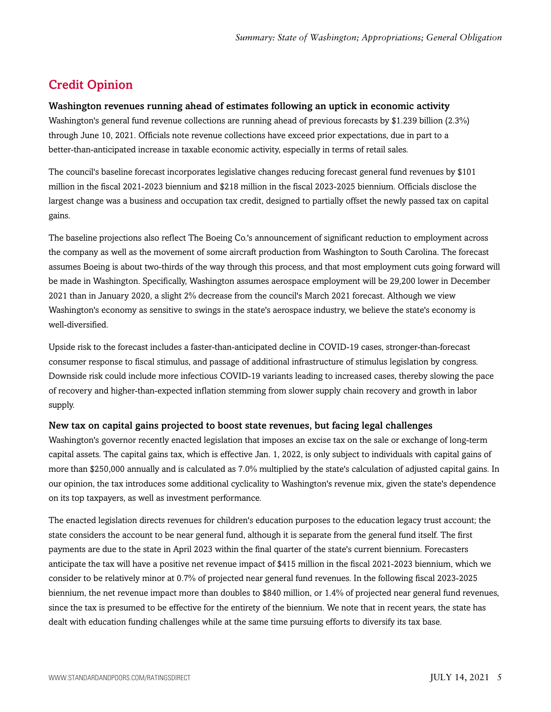# <span id="page-4-0"></span>Credit Opinion

#### Washington revenues running ahead of estimates following an uptick in economic activity

Washington's general fund revenue collections are running ahead of previous forecasts by \$1.239 billion (2.3%) through June 10, 2021. Officials note revenue collections have exceed prior expectations, due in part to a better-than-anticipated increase in taxable economic activity, especially in terms of retail sales.

The council's baseline forecast incorporates legislative changes reducing forecast general fund revenues by \$101 million in the fiscal 2021-2023 biennium and \$218 million in the fiscal 2023-2025 biennium. Officials disclose the largest change was a business and occupation tax credit, designed to partially offset the newly passed tax on capital gains.

The baseline projections also reflect The Boeing Co.'s announcement of significant reduction to employment across the company as well as the movement of some aircraft production from Washington to South Carolina. The forecast assumes Boeing is about two-thirds of the way through this process, and that most employment cuts going forward will be made in Washington. Specifically, Washington assumes aerospace employment will be 29,200 lower in December 2021 than in January 2020, a slight 2% decrease from the council's March 2021 forecast. Although we view Washington's economy as sensitive to swings in the state's aerospace industry, we believe the state's economy is well-diversified.

Upside risk to the forecast includes a faster-than-anticipated decline in COVID-19 cases, stronger-than-forecast consumer response to fiscal stimulus, and passage of additional infrastructure of stimulus legislation by congress. Downside risk could include more infectious COVID-19 variants leading to increased cases, thereby slowing the pace of recovery and higher-than-expected inflation stemming from slower supply chain recovery and growth in labor supply.

#### New tax on capital gains projected to boost state revenues, but facing legal challenges

Washington's governor recently enacted legislation that imposes an excise tax on the sale or exchange of long-term capital assets. The capital gains tax, which is effective Jan. 1, 2022, is only subject to individuals with capital gains of more than \$250,000 annually and is calculated as 7.0% multiplied by the state's calculation of adjusted capital gains. In our opinion, the tax introduces some additional cyclicality to Washington's revenue mix, given the state's dependence on its top taxpayers, as well as investment performance.

The enacted legislation directs revenues for children's education purposes to the education legacy trust account; the state considers the account to be near general fund, although it is separate from the general fund itself. The first payments are due to the state in April 2023 within the final quarter of the state's current biennium. Forecasters anticipate the tax will have a positive net revenue impact of \$415 million in the fiscal 2021-2023 biennium, which we consider to be relatively minor at 0.7% of projected near general fund revenues. In the following fiscal 2023-2025 biennium, the net revenue impact more than doubles to \$840 million, or 1.4% of projected near general fund revenues, since the tax is presumed to be effective for the entirety of the biennium. We note that in recent years, the state has dealt with education funding challenges while at the same time pursuing efforts to diversify its tax base.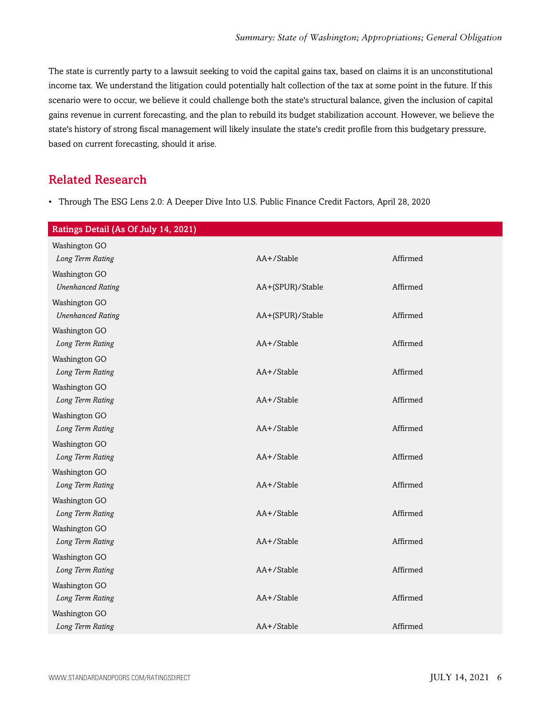The state is currently party to a lawsuit seeking to void the capital gains tax, based on claims it is an unconstitutional income tax. We understand the litigation could potentially halt collection of the tax at some point in the future. If this scenario were to occur, we believe it could challenge both the state's structural balance, given the inclusion of capital gains revenue in current forecasting, and the plan to rebuild its budget stabilization account. However, we believe the state's history of strong fiscal management will likely insulate the state's credit profile from this budgetary pressure, based on current forecasting, should it arise.

## <span id="page-5-0"></span>Related Research

• Through The ESG Lens 2.0: A Deeper Dive Into U.S. Public Finance Credit Factors, April 28, 2020

| Ratings Detail (As Of July 14, 2021) |                  |          |
|--------------------------------------|------------------|----------|
| Washington GO                        |                  |          |
| Long Term Rating                     | AA+/Stable       | Affirmed |
| Washington GO                        |                  |          |
| <b>Unenhanced Rating</b>             | AA+(SPUR)/Stable | Affirmed |
| Washington GO                        |                  |          |
| <b>Unenhanced Rating</b>             | AA+(SPUR)/Stable | Affirmed |
| Washington GO                        |                  |          |
| Long Term Rating                     | AA+/Stable       | Affirmed |
| Washington GO                        |                  |          |
| Long Term Rating                     | AA+/Stable       | Affirmed |
| Washington GO                        |                  |          |
| Long Term Rating                     | AA+/Stable       | Affirmed |
| Washington GO                        |                  |          |
| Long Term Rating                     | AA+/Stable       | Affirmed |
| Washington GO                        |                  |          |
| Long Term Rating                     | AA+/Stable       | Affirmed |
| Washington GO                        |                  |          |
| Long Term Rating                     | AA+/Stable       | Affirmed |
| Washington GO                        |                  |          |
| Long Term Rating                     | AA+/Stable       | Affirmed |
| Washington GO                        |                  |          |
| Long Term Rating                     | AA+/Stable       | Affirmed |
| Washington GO                        | AA+/Stable       | Affirmed |
| Long Term Rating                     |                  |          |
| Washington GO<br>Long Term Rating    | AA+/Stable       | Affirmed |
|                                      |                  |          |
| Washington GO<br>Long Term Rating    | AA+/Stable       | Affirmed |
|                                      |                  |          |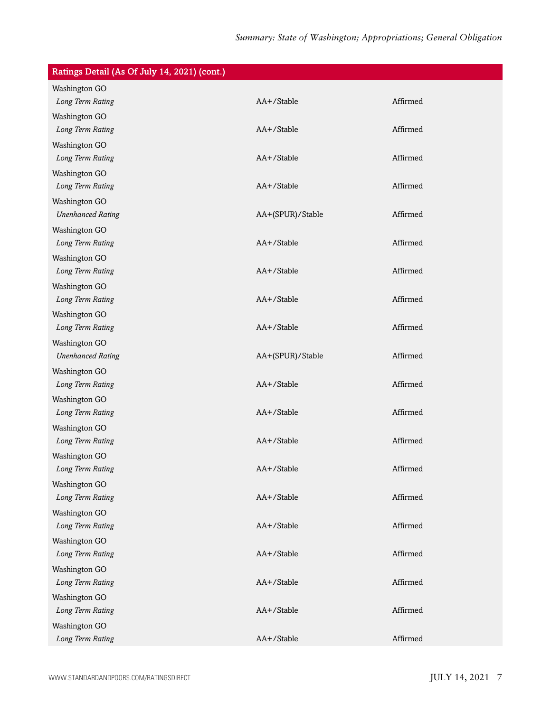| Ratings Detail (As Of July 14, 2021) (cont.) |                  |          |
|----------------------------------------------|------------------|----------|
| Washington GO                                |                  |          |
| Long Term Rating                             | AA+/Stable       | Affirmed |
| Washington GO                                |                  |          |
| Long Term Rating                             | AA+/Stable       | Affirmed |
| Washington GO                                |                  |          |
| Long Term Rating                             | AA+/Stable       | Affirmed |
| Washington GO                                |                  |          |
| Long Term Rating                             | AA+/Stable       | Affirmed |
| Washington GO                                |                  |          |
| <b>Unenhanced Rating</b>                     | AA+(SPUR)/Stable | Affirmed |
| Washington GO                                |                  |          |
| Long Term Rating                             | AA+/Stable       | Affirmed |
| Washington GO                                |                  |          |
| Long Term Rating                             | AA+/Stable       | Affirmed |
| Washington GO                                |                  |          |
| Long Term Rating                             | AA+/Stable       | Affirmed |
| Washington GO                                |                  |          |
| Long Term Rating                             | AA+/Stable       | Affirmed |
| Washington GO                                |                  |          |
| <b>Unenhanced Rating</b>                     | AA+(SPUR)/Stable | Affirmed |
| Washington GO                                |                  |          |
| Long Term Rating                             | AA+/Stable       | Affirmed |
| Washington GO                                |                  |          |
| Long Term Rating                             | AA+/Stable       | Affirmed |
| Washington GO                                |                  |          |
| Long Term Rating                             | AA+/Stable       | Affirmed |
| Washington GO                                |                  |          |
| Long Term Rating                             | AA+/Stable       | Affirmed |
| Washington GO                                |                  |          |
| Long Term Rating                             | AA+/Stable       | Affirmed |
| Washington GO                                |                  |          |
| Long Term Rating                             | AA+/Stable       | Affirmed |
| Washington GO                                |                  |          |
| Long Term Rating                             | AA+/Stable       | Affirmed |
| Washington GO                                |                  |          |
| Long Term Rating                             | AA+/Stable       | Affirmed |
| Washington GO                                |                  |          |
| Long Term Rating                             | AA+/Stable       | Affirmed |
| Washington GO                                |                  |          |
| Long Term Rating                             | AA+/Stable       | Affirmed |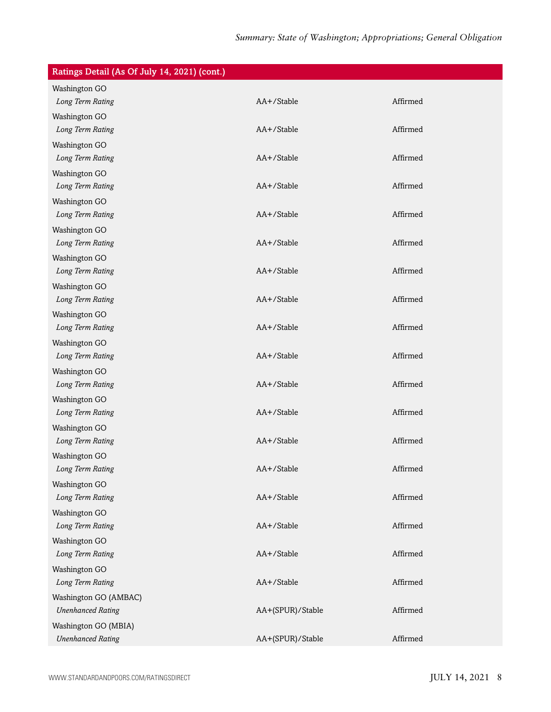| Ratings Detail (As Of July 14, 2021) (cont.) |                  |          |
|----------------------------------------------|------------------|----------|
| Washington GO                                |                  |          |
| Long Term Rating                             | AA+/Stable       | Affirmed |
| Washington GO                                |                  |          |
| Long Term Rating                             | AA+/Stable       | Affirmed |
| Washington GO                                |                  |          |
| Long Term Rating                             | AA+/Stable       | Affirmed |
| Washington GO                                |                  |          |
| Long Term Rating                             | AA+/Stable       | Affirmed |
| Washington GO                                |                  |          |
| Long Term Rating                             | AA+/Stable       | Affirmed |
| Washington GO                                |                  |          |
| Long Term Rating                             | AA+/Stable       | Affirmed |
| Washington GO                                |                  |          |
| Long Term Rating                             | AA+/Stable       | Affirmed |
| Washington GO                                |                  |          |
| Long Term Rating                             | AA+/Stable       | Affirmed |
| Washington GO                                |                  |          |
| Long Term Rating                             | AA+/Stable       | Affirmed |
| Washington GO                                |                  |          |
| Long Term Rating                             | AA+/Stable       | Affirmed |
| Washington GO                                |                  |          |
| Long Term Rating                             | AA+/Stable       | Affirmed |
| Washington GO                                |                  |          |
| Long Term Rating                             | AA+/Stable       | Affirmed |
| Washington GO                                |                  |          |
| Long Term Rating                             | AA+/Stable       | Affirmed |
| Washington GO                                |                  |          |
| Long Term Rating                             | AA+/Stable       | Affirmed |
| Washington GO                                |                  |          |
| Long Term Rating                             | AA+/Stable       | Affirmed |
| Washington GO                                |                  |          |
| Long Term Rating                             | AA+/Stable       | Affirmed |
| Washington GO                                |                  |          |
| Long Term Rating                             | AA+/Stable       | Affirmed |
| Washington GO                                |                  |          |
| Long Term Rating                             | AA+/Stable       | Affirmed |
| Washington GO (AMBAC)                        |                  |          |
| <b>Unenhanced Rating</b>                     | AA+(SPUR)/Stable | Affirmed |
| Washington GO (MBIA)                         |                  |          |
| <b>Unenhanced Rating</b>                     | AA+(SPUR)/Stable | Affirmed |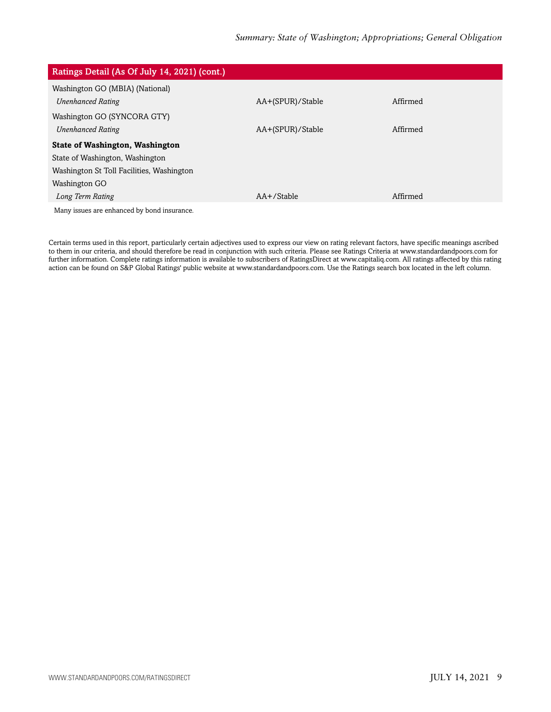| Ratings Detail (As Of July 14, 2021) (cont.) |                  |          |
|----------------------------------------------|------------------|----------|
| Washington GO (MBIA) (National)              |                  |          |
| <b>Unenhanced Rating</b>                     | AA+(SPUR)/Stable | Affirmed |
| Washington GO (SYNCORA GTY)                  |                  |          |
| <b>Unenhanced Rating</b>                     | AA+(SPUR)/Stable | Affirmed |
| <b>State of Washington, Washington</b>       |                  |          |
| State of Washington, Washington              |                  |          |
| Washington St Toll Facilities, Washington    |                  |          |
| Washington GO                                |                  |          |
| Long Term Rating                             | $AA + /$ Stable  | Affirmed |
| Many issues are enhanced by bond insurance.  |                  |          |

Certain terms used in this report, particularly certain adjectives used to express our view on rating relevant factors, have specific meanings ascribed to them in our criteria, and should therefore be read in conjunction with such criteria. Please see Ratings Criteria at www.standardandpoors.com for further information. Complete ratings information is available to subscribers of RatingsDirect at www.capitaliq.com. All ratings affected by this rating action can be found on S&P Global Ratings' public website at www.standardandpoors.com. Use the Ratings search box located in the left column.